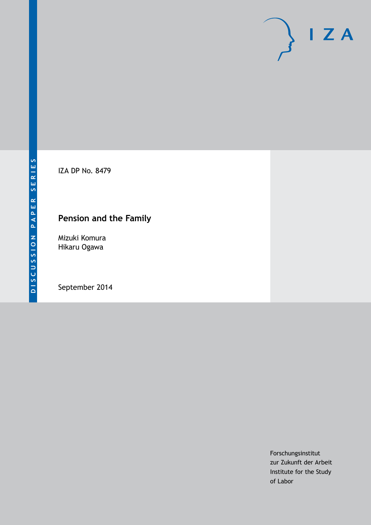

IZA DP No. 8479

## **Pension and the Family**

Mizuki Komura Hikaru Ogawa

September 2014

Forschungsinstitut zur Zukunft der Arbeit Institute for the Study of Labor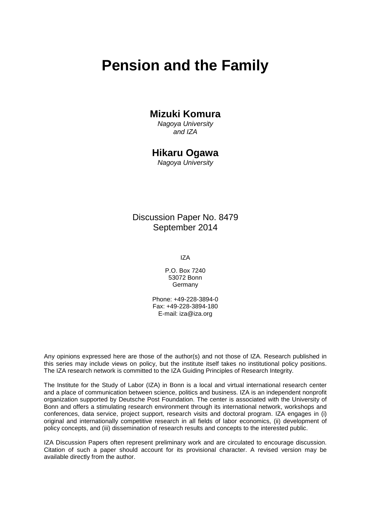# **Pension and the Family**

### **Mizuki Komura**

*Nagoya University and IZA*

### **Hikaru Ogawa**

*Nagoya University*

Discussion Paper No. 8479 September 2014

IZA

P.O. Box 7240 53072 Bonn Germany

Phone: +49-228-3894-0 Fax: +49-228-3894-180 E-mail: [iza@iza.org](mailto:iza@iza.org)

Any opinions expressed here are those of the author(s) and not those of IZA. Research published in this series may include views on policy, but the institute itself takes no institutional policy positions. The IZA research network is committed to the IZA Guiding Principles of Research Integrity.

The Institute for the Study of Labor (IZA) in Bonn is a local and virtual international research center and a place of communication between science, politics and business. IZA is an independent nonprofit organization supported by Deutsche Post Foundation. The center is associated with the University of Bonn and offers a stimulating research environment through its international network, workshops and conferences, data service, project support, research visits and doctoral program. IZA engages in (i) original and internationally competitive research in all fields of labor economics, (ii) development of policy concepts, and (iii) dissemination of research results and concepts to the interested public.

IZA Discussion Papers often represent preliminary work and are circulated to encourage discussion. Citation of such a paper should account for its provisional character. A revised version may be available directly from the author.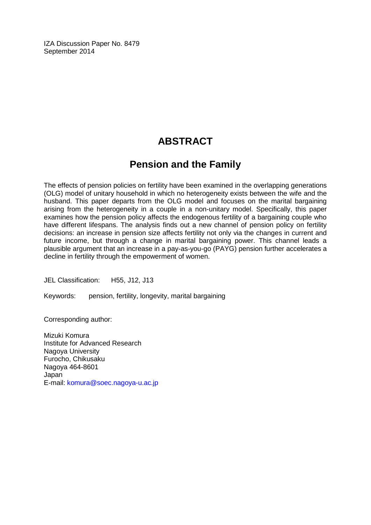IZA Discussion Paper No. 8479 September 2014

## **ABSTRACT**

### **Pension and the Family**

The effects of pension policies on fertility have been examined in the overlapping generations (OLG) model of unitary household in which no heterogeneity exists between the wife and the husband. This paper departs from the OLG model and focuses on the marital bargaining arising from the heterogeneity in a couple in a non-unitary model. Specifically, this paper examines how the pension policy affects the endogenous fertility of a bargaining couple who have different lifespans. The analysis finds out a new channel of pension policy on fertility decisions: an increase in pension size affects fertility not only via the changes in current and future income, but through a change in marital bargaining power. This channel leads a plausible argument that an increase in a pay-as-you-go (PAYG) pension further accelerates a decline in fertility through the empowerment of women.

JEL Classification: H55, J12, J13

Keywords: pension, fertility, longevity, marital bargaining

Corresponding author:

Mizuki Komura Institute for Advanced Research Nagoya University Furocho, Chikusaku Nagoya 464-8601 Japan E-mail: [komura@soec.nagoya-u.ac.jp](mailto:komura@soec.nagoya-u.ac.jp)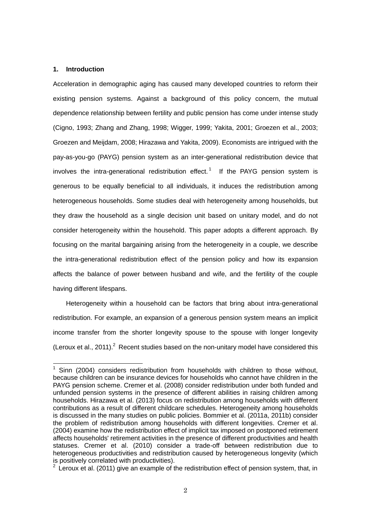#### **1. Introduction**

-

Acceleration in demographic aging has caused many developed countries to reform their existing pension systems. Against a background of this policy concern, the mutual dependence relationship between fertility and public pension has come under intense study (Cigno, 1993; Zhang and Zhang, 1998; Wigger, 1999; Yakita, 2001; Groezen et al., 2003; Groezen and Meijdam, 2008; Hirazawa and Yakita, 2009). Economists are intrigued with the pay-as-you-go (PAYG) pension system as an inter-generational redistribution device that involves the intra-generational redistribution effect.<sup>1</sup> If the PAYG pension system is generous to be equally beneficial to all individuals, it induces the redistribution among heterogeneous households. Some studies deal with heterogeneity among households, but they draw the household as a single decision unit based on unitary model, and do not consider heterogeneity within the household. This paper adopts a different approach. By focusing on the marital bargaining arising from the heterogeneity in a couple, we describe the intra-generational redistribution effect of the pension policy and how its expansion affects the balance of power between husband and wife, and the fertility of the couple having different lifespans.

 Heterogeneity within a household can be factors that bring about intra-generational redistribution. For example, an expansion of a generous pension system means an implicit income transfer from the shorter longevity spouse to the spouse with longer longevity (Leroux et al., 2011). $^2$  Recent studies based on the non-unitary model have considered this

<sup>1</sup> Sinn (2004) considers redistribution from households with children to those without, because children can be insurance devices for households who cannot have children in the PAYG pension scheme. Cremer et al. (2008) consider redistribution under both funded and unfunded pension systems in the presence of different abilities in raising children among households. Hirazawa et al. (2013) focus on redistribution among households with different contributions as a result of different childcare schedules. Heterogeneity among households is discussed in the many studies on public policies. Bommier et al. (2011a, 2011b) consider the problem of redistribution among households with different longevities. Cremer et al. (2004) examine how the redistribution effect of implicit tax imposed on postponed retirement affects households' retirement activities in the presence of different productivities and health statuses. Cremer et al. (2010) consider a trade-off between redistribution due to heterogeneous productivities and redistribution caused by heterogeneous longevity (which is positively correlated with productivities).

 $2^{2}$  Leroux et al. (2011) give an example of the redistribution effect of pension system, that, in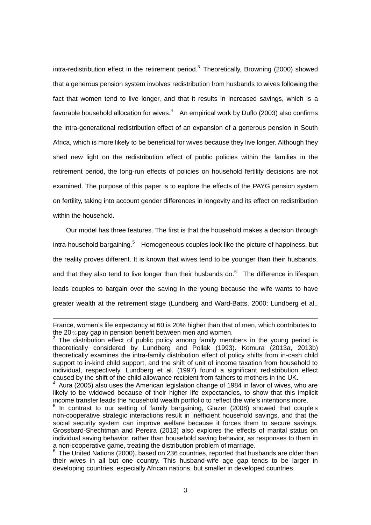intra-redistribution effect in the retirement period.<sup>3</sup> Theoretically, Browning (2000) showed that a generous pension system involves redistribution from husbands to wives following the fact that women tend to live longer, and that it results in increased savings, which is a favorable household allocation for wives. $4$  An empirical work by Duflo (2003) also confirms the intra-generational redistribution effect of an expansion of a generous pension in South Africa, which is more likely to be beneficial for wives because they live longer. Although they shed new light on the redistribution effect of public policies within the families in the retirement period, the long-run effects of policies on household fertility decisions are not examined. The purpose of this paper is to explore the effects of the PAYG pension system on fertility, taking into account gender differences in longevity and its effect on redistribution within the household.

 Our model has three features. The first is that the household makes a decision through intra-household bargaining.<sup>5</sup> Homogeneous couples look like the picture of happiness, but the reality proves different. It is known that wives tend to be younger than their husbands, and that they also tend to live longer than their husbands do. $6$  The difference in lifespan leads couples to bargain over the saving in the young because the wife wants to have greater wealth at the retirement stage (Lundberg and Ward-Batts, 2000; Lundberg et al.,

France, women's life expectancy at 60 is 20% higher than that of men, which contributes to the 20 % pay gap in pension benefit between men and women.

 $3$  The distribution effect of public policy among family members in the young period is theoretically considered by Lundberg and Pollak (1993). Komura (2013a, 2013b) theoretically examines the intra-family distribution effect of policy shifts from in-cash child support to in-kind child support, and the shift of unit of income taxation from household to individual, respectively. Lundberg et al. (1997) found a significant redistribution effect caused by the shift of the child allowance recipient from fathers to mothers in the UK.

Aura (2005) also uses the American legislation change of 1984 in favor of wives, who are likely to be widowed because of their higher life expectancies, to show that this implicit income transfer leads the household wealth portfolio to reflect the wife's intentions more.

<sup>&</sup>lt;sup>5</sup> In contrast to our setting of family bargaining, Glazer (2008) showed that couple's non-cooperative strategic interactions result in inefficient household savings, and that the social security system can improve welfare because it forces them to secure savings. Grossbard-Shechtman and Pereira (2013) also explores the effects of marital status on individual saving behavior, rather than household saving behavior, as responses to them in a non-cooperative game, treating the distribution problem of marriage.

<sup>&</sup>lt;sup>6</sup> The United Nations (2000), based on 236 countries, reported that husbands are older than their wives in all but one country. This husband-wife age gap tends to be larger in developing countries, especially African nations, but smaller in developed countries.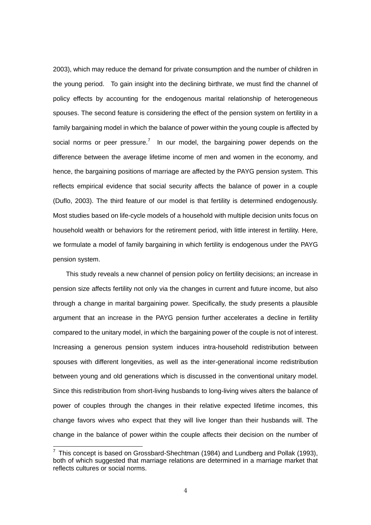2003), which may reduce the demand for private consumption and the number of children in the young period. To gain insight into the declining birthrate, we must find the channel of policy effects by accounting for the endogenous marital relationship of heterogeneous spouses. The second feature is considering the effect of the pension system on fertility in a family bargaining model in which the balance of power within the young couple is affected by social norms or peer pressure.<sup>7</sup> In our model, the bargaining power depends on the difference between the average lifetime income of men and women in the economy, and hence, the bargaining positions of marriage are affected by the PAYG pension system. This reflects empirical evidence that social security affects the balance of power in a couple (Duflo, 2003). The third feature of our model is that fertility is determined endogenously. Most studies based on life-cycle models of a household with multiple decision units focus on household wealth or behaviors for the retirement period, with little interest in fertility. Here, we formulate a model of family bargaining in which fertility is endogenous under the PAYG pension system.

 This study reveals a new channel of pension policy on fertility decisions; an increase in pension size affects fertility not only via the changes in current and future income, but also through a change in marital bargaining power. Specifically, the study presents a plausible argument that an increase in the PAYG pension further accelerates a decline in fertility compared to the unitary model, in which the bargaining power of the couple is not of interest. Increasing a generous pension system induces intra-household redistribution between spouses with different longevities, as well as the inter-generational income redistribution between young and old generations which is discussed in the conventional unitary model. Since this redistribution from short-living husbands to long-living wives alters the balance of power of couples through the changes in their relative expected lifetime incomes, this change favors wives who expect that they will live longer than their husbands will. The change in the balance of power within the couple affects their decision on the number of

<sup>————————————————————&</sup>lt;br><sup>7</sup> This concept is based on Grossbard-Shechtman (1984) and Lundberg and Pollak (1993), both of which suggested that marriage relations are determined in a marriage market that reflects cultures or social norms.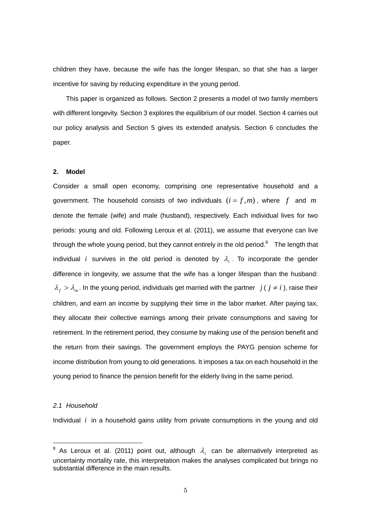children they have, because the wife has the longer lifespan, so that she has a larger incentive for saving by reducing expenditure in the young period.

 This paper is organized as follows. Section 2 presents a model of two family members with different longevity. Section 3 explores the equilibrium of our model. Section 4 carries out our policy analysis and Section 5 gives its extended analysis. Section 6 concludes the paper.

#### **2. Model**

Consider a small open economy, comprising one representative household and a government. The household consists of two individuals  $(i = f, m)$ , where f and m denote the female (wife) and male (husband), respectively. Each individual lives for two periods: young and old. Following Leroux et al. (2011), we assume that everyone can live through the whole young period, but they cannot entirely in the old period. $8$  The length that individual *i* survives in the old period is denoted by  $\lambda_i$ . To incorporate the gender difference in longevity, we assume that the wife has a longer lifespan than the husband:  $\lambda_f > \lambda_m$ . In the young period, individuals get married with the partner  $j$  (  $j \neq i$  ), raise their children, and earn an income by supplying their time in the labor market. After paying tax, they allocate their collective earnings among their private consumptions and saving for retirement. In the retirement period, they consume by making use of the pension benefit and the return from their savings. The government employs the PAYG pension scheme for income distribution from young to old generations. It imposes a tax on each household in the young period to finance the pension benefit for the elderly living in the same period.

#### *2.1 Household*

-

Individual *i* in a household gains utility from private consumptions in the young and old

<sup>&</sup>lt;sup>8</sup> As Leroux et al. (2011) point out, although  $\lambda_i$  can be alternatively interpreted as uncertainty mortality rate, this interpretation makes the analyses complicated but brings no substantial difference in the main results.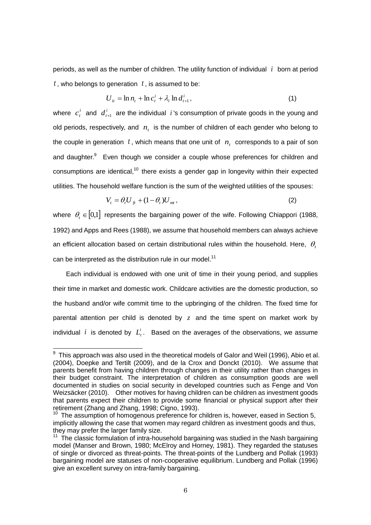periods, as well as the number of children. The utility function of individual *i* born at period *t* , who belongs to generation *t* , is assumed to be:

$$
U_{it} = \ln n_t + \ln c_t^i + \lambda_i \ln d_{t+1}^i,
$$
\n(1)

where  $c_i^i$  $c_i^i$  and  $d_{i+1}^i$  are the individual *i*'s consumption of private goods in the young and old periods, respectively, and *nt* is the number of children of each gender who belong to the couple in generation  $t$ , which means that one unit of  $n_t$  corresponds to a pair of son and daughter.<sup>9</sup> Even though we consider a couple whose preferences for children and consumptions are identical, $10$  there exists a gender gap in longevity within their expected utilities. The household welfare function is the sum of the weighted utilities of the spouses:

$$
V_t = \theta_t U_{ft} + (1 - \theta_t) U_{mt}, \qquad (2)
$$

where  $\theta_{i} \in [0,1]$  represents the bargaining power of the wife. Following Chiappori (1988, 1992) and Apps and Rees (1988), we assume that household members can always achieve an efficient allocation based on certain distributional rules within the household. Here,  $\theta_{i}$ can be interpreted as the distribution rule in our model.<sup>11</sup>

 Each individual is endowed with one unit of time in their young period, and supplies their time in market and domestic work. Childcare activities are the domestic production, so the husband and/or wife commit time to the upbringing of the children. The fixed time for parental attention per child is denoted by  $z$  and the time spent on market work by individual i is denoted by  $L_t^i$ . Based on the averages of the observations, we assume

 9 This approach was also used in the theoretical models of Galor and Weil (1996), Abio et al. (2004), Doepke and Tertilt (2009), and de la Crox and Donckt (2010). We assume that parents benefit from having children through changes in their utility rather than changes in their budget constraint. The interpretation of children as consumption goods are well documented in studies on social security in developed countries such as Fenge and Von Weizsäcker (2010). Other motives for having children can be children as investment goods that parents expect their children to provide some financial or physical support after their retirement (Zhang and Zhang, 1998; Cigno, 1993).

<sup>&</sup>lt;sup>10</sup> The assumption of homogenous preference for children is, however, eased in Section 5, implicitly allowing the case that women may regard children as investment goods and thus, they may prefer the larger family size.

 $11$  The classic formulation of intra-household bargaining was studied in the Nash bargaining model (Manser and Brown, 1980; McElroy and Horney, 1981). They regarded the statuses of single or divorced as threat-points. The threat-points of the Lundberg and Pollak (1993) bargaining model are statuses of non-cooperative equilibrium. Lundberg and Pollak (1996) give an excellent survey on intra-family bargaining.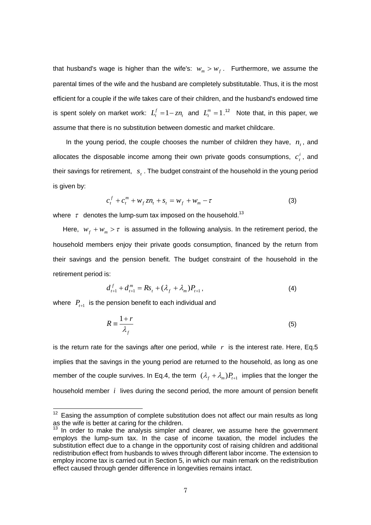that husband's wage is higher than the wife's:  $w_m > w_f$ . Furthermore, we assume the parental times of the wife and the husband are completely substitutable. Thus, it is the most efficient for a couple if the wife takes care of their children, and the husband's endowed time is spent solely on market work:  $L_t^f = 1 - zn_t$  $L_t^f = 1 - zn$ , and  $L_t^m = 1$ .<sup>12</sup> Note that, in this paper, we assume that there is no substitution between domestic and market childcare.

In the young period, the couple chooses the number of children they have,  $n_t$ , and allocates the disposable income among their own private goods consumptions,  $c_i^i$  $c_t^i$ , and their savings for retirement,  $\left| s \right\rangle$ . The budget constraint of the household in the young period is given by:

$$
c_t^f + c_t^m + w_f z n_t + s_t = w_f + w_m - \tau
$$
 (3)

where  $\tau$  denotes the lump-sum tax imposed on the household.<sup>13</sup>

Here,  $w_f + w_m > \tau$  is assumed in the following analysis. In the retirement period, the household members enjoy their private goods consumption, financed by the return from their savings and the pension benefit. The budget constraint of the household in the retirement period is:

$$
d_{t+1}^f + d_{t+1}^m = Rs_t + (\lambda_f + \lambda_m)P_{t+1},
$$
\n(4)

where  $\left|P_{t+1}\right|$  is the pension benefit to each individual and

 $\overline{a}$ 

$$
R = \frac{1+r}{\lambda_f} \tag{5}
$$

is the return rate for the savings after one period, while  $r$  is the interest rate. Here, Eq.5 implies that the savings in the young period are returned to the household, as long as one member of the couple survives. In Eq.4, the term  $(\lambda_f + \lambda_m)P_{t+1}$  implies that the longer the household member *i* lives during the second period, the more amount of pension benefit

 $12$  Easing the assumption of complete substitution does not affect our main results as long as the wife is better at caring for the children.

 $13$  In order to make the analysis simpler and clearer, we assume here the government employs the lump-sum tax. In the case of income taxation, the model includes the substitution effect due to a change in the opportunity cost of raising children and additional redistribution effect from husbands to wives through different labor income. The extension to employ income tax is carried out in Section 5, in which our main remark on the redistribution effect caused through gender difference in longevities remains intact.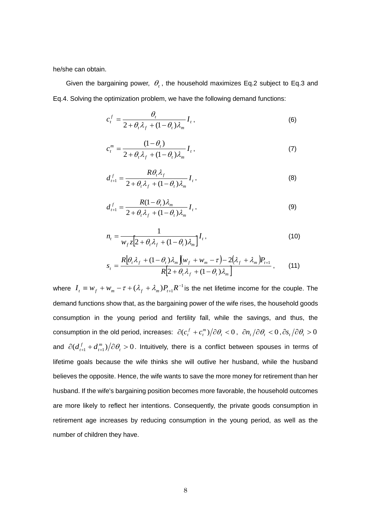he/she can obtain.

Given the bargaining power,  $\theta_t$ , the household maximizes Eq.2 subject to Eq.3 and Eq.4. Solving the optimization problem, we have the following demand functions:

$$
c_t^f = \frac{\theta_t}{2 + \theta_t \lambda_f + (1 - \theta_t) \lambda_m} I_t,
$$
\n(6)

$$
c_t^m = \frac{(1 - \theta_t)}{2 + \theta_t \lambda_f + (1 - \theta_t) \lambda_m} I_t,
$$
\n(7)

$$
d_{t+1}^f = \frac{R\theta_t \lambda_f}{2 + \theta_t \lambda_f + (1 - \theta_t)\lambda_m} I_t,
$$
\n(8)

$$
d_{t+1}^f = \frac{R(1-\theta_t)\lambda_m}{2+\theta_t\lambda_f+(1-\theta_t)\lambda_m}I_t,
$$
\n(9)

$$
n_{t} = \frac{1}{w_{f}z\left[2 + \theta_{t}\lambda_{f} + (1 - \theta_{t})\lambda_{m}\right]}I_{t},
$$
\n(10)

$$
s_{t} = \frac{R[\theta_{t}\lambda_{f} + (1-\theta_{t})\lambda_{m}][w_{f} + w_{m} - \tau] - 2(\lambda_{f} + \lambda_{m})P_{t+1}}{R[2+\theta_{t}\lambda_{f} + (1-\theta_{t})\lambda_{m}]} \,, \qquad (11)
$$

where  $I_{t} \equiv W_{f} + W_{m} - \tau + (\lambda_{f} + \lambda_{m}) P_{t+1} R^{-1}$  $I_t \equiv w_f + w_m - \tau + (\lambda_f + \lambda_m)P_{t+1}R^{-1}$  is the net lifetime income for the couple. The demand functions show that, as the bargaining power of the wife rises, the household goods consumption in the young period and fertility fall, while the savings, and thus, the consumption in the old period, increases:  $\partial(c_i^f + c_i^m)/\partial\theta_i < 0$ ,  $\partial n_i/\partial\theta_i < 0$ ,  $\partial s_i/\partial\theta_i > 0$ and  $\partial(d_{t+1}^f + d_{t+1}^m)/\partial \theta_t > 0$ *t*  $d_{t+1}^f+d_{t+1}^m$ ) $\left/ \partial \theta_t > 0$ . Intuitively, there is a conflict between spouses in terms of lifetime goals because the wife thinks she will outlive her husband, while the husband believes the opposite. Hence, the wife wants to save the more money for retirement than her husband. If the wife's bargaining position becomes more favorable, the household outcomes are more likely to reflect her intentions. Consequently, the private goods consumption in retirement age increases by reducing consumption in the young period, as well as the number of children they have.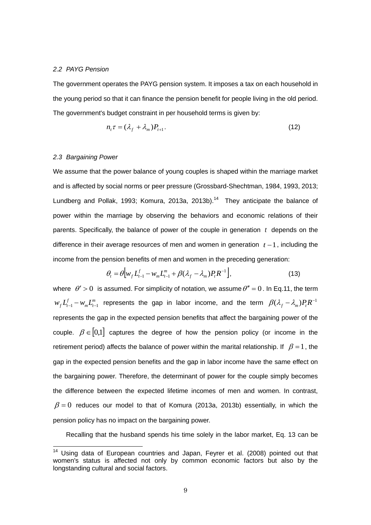#### *2.2 PAYG Pension*

The government operates the PAYG pension system. It imposes a tax on each household in the young period so that it can finance the pension benefit for people living in the old period. The government's budget constraint in per household terms is given by:

$$
n_{t}\tau = (\lambda_{f} + \lambda_{m})P_{t+1}.
$$
\n(12)

#### *2.3 Bargaining Power*

-

We assume that the power balance of young couples is shaped within the marriage market and is affected by social norms or peer pressure (Grossbard-Shechtman, 1984, 1993, 2013; Lundberg and Pollak, 1993; Komura, 2013a, 2013b).<sup>14</sup> They anticipate the balance of power within the marriage by observing the behaviors and economic relations of their parents. Specifically, the balance of power of the couple in generation *t* depends on the difference in their average resources of men and women in generation  $t-1$ , including the income from the pension benefits of men and women in the preceding generation:

$$
\theta_{t} = \theta \Big[ w_{f} L_{t-1}^{f} - w_{m} L_{t-1}^{m} + \beta (\lambda_{f} - \lambda_{m}) P_{t} R^{-1} \Big], \tag{13}
$$

where  $\theta' > 0$  is assumed. For simplicity of notation, we assume  $\theta'' = 0$ . In Eq.11, the term *m*  $w_f L_{t-1}^f - w_m L_{t-1}^m$  represents the gap in labor income, and the term  $\beta(\lambda_f - \lambda_m) P_t R^{-1}$ represents the gap in the expected pension benefits that affect the bargaining power of the couple.  $\beta \in [0,1]$  captures the degree of how the pension policy (or income in the retirement period) affects the balance of power within the marital relationship. If  $\beta = 1$ , the gap in the expected pension benefits and the gap in labor income have the same effect on the bargaining power. Therefore, the determinant of power for the couple simply becomes the difference between the expected lifetime incomes of men and women. In contrast,  $\beta = 0$  reduces our model to that of Komura (2013a, 2013b) essentially, in which the pension policy has no impact on the bargaining power.

Recalling that the husband spends his time solely in the labor market, Eq. 13 can be

Using data of European countries and Japan, Feyrer et al. (2008) pointed out that women's status is affected not only by common economic factors but also by the longstanding cultural and social factors.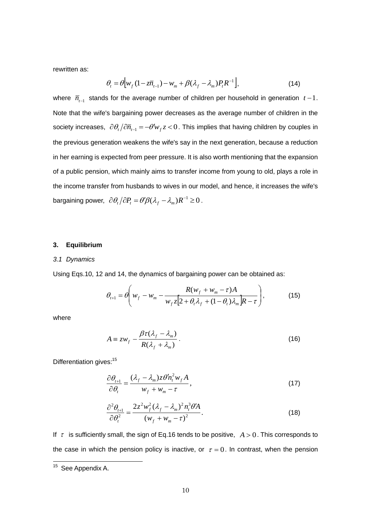rewritten as:

$$
\theta_t = \theta \Big[ w_f \left( 1 - z \overline{n}_{t-1} \right) - w_m + \beta (\lambda_f - \lambda_m) P_t R^{-1} \Big], \tag{14}
$$

where  $\bar{n}_{t-1}$  stands for the average number of children per household in generation  $t-1$ . Note that the wife's bargaining power decreases as the average number of children in the society increases,  $\partial \theta_t / \partial \overline{n}_{t-1} = -\theta' w_f z < 0$ . This implies that having children by couples in the previous generation weakens the wife's say in the next generation, because a reduction in her earning is expected from peer pressure. It is also worth mentioning that the expansion of a public pension, which mainly aims to transfer income from young to old, plays a role in the income transfer from husbands to wives in our model, and hence, it increases the wife's bargaining power,  $\partial \theta_t / \partial P_t = \theta' \beta (\lambda_f - \lambda_m) R^{-1} \geq 0$  .

#### **3. Equilibrium**

#### *3.1 Dynamics*

Using Eqs.10, 12 and 14, the dynamics of bargaining power can be obtained as:

$$
\theta_{t+1} = \theta \left( w_f - w_m - \frac{R(w_f + w_m - \tau)A}{w_f z \left[2 + \theta_t \lambda_f + (1 - \theta_t) \lambda_m \right] R - \tau} \right),\tag{15}
$$

where

$$
A \equiv zw_f - \frac{\beta \tau (\lambda_f - \lambda_m)}{R(\lambda_f + \lambda_m)}.
$$
 (16)

Differentiation gives:<sup>15</sup>

$$
\frac{\partial \theta_{t+1}}{\partial \theta_t} = \frac{(\lambda_f - \lambda_m) z \theta' n_t^2 w_f A}{w_f + w_m - \tau},
$$
\n(17)

$$
\frac{\partial^2 \theta_{t+1}}{\partial \theta_t^2} = \frac{2z^2 w_f^2 (\lambda_f - \lambda_m)^2 n_t^3 \theta' A}{(w_f + w_m - \tau)^2}.
$$
\n(18)

If  $\tau$  is sufficiently small, the sign of Eq.16 tends to be positive,  $A > 0$ . This corresponds to the case in which the pension policy is inactive, or  $\tau = 0$ . In contrast, when the pension

<sup>&</sup>lt;sup>15</sup> See Appendix A.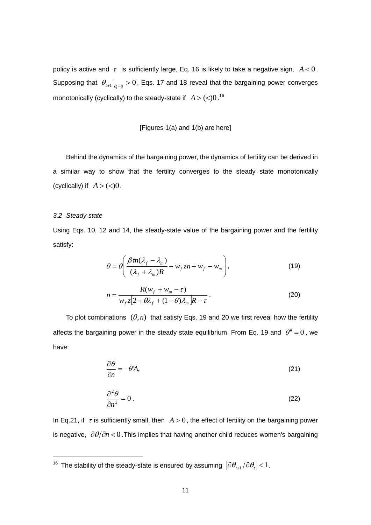policy is active and  $\tau$  is sufficiently large, Eq. 16 is likely to take a negative sign,  $A < 0$ . Supposing that  $\theta_{t+1}\big|_{\theta_t=0} > 0$ , Eqs. 17 and 18 reveal that the bargaining power converges monotonically (cyclically) to the steady-state if  $A > ($   $<)0.^{16}$ 

#### [Figures 1(a) and 1(b) are here]

 Behind the dynamics of the bargaining power, the dynamics of fertility can be derived in a similar way to show that the fertility converges to the steady state monotonically (cyclically) if  $A > (0)$ .

#### *3.2 Steady state*

-

Using Eqs. 10, 12 and 14, the steady-state value of the bargaining power and the fertility satisfy:

$$
\theta = \theta \left( \frac{\beta m (\lambda_f - \lambda_m)}{(\lambda_f + \lambda_m) R} - w_f z n + w_f - w_m \right),
$$
\n(19)

$$
n = \frac{R(w_f + w_m - \tau)}{w_f z \left[2 + \theta \lambda_f + (1 - \theta) \lambda_m\right] R - \tau}.
$$
\n(20)

To plot combinations  $(\theta, n)$  that satisfy Eqs. 19 and 20 we first reveal how the fertility affects the bargaining power in the steady state equilibrium. From Eq. 19 and  $\theta'' = 0$ , we have:

$$
\frac{\partial \theta}{\partial n} = -\theta' A,\tag{21}
$$

$$
\frac{\partial^2 \theta}{\partial n^2} = 0.
$$
 (22)

In Eq.21, if  $\tau$  is sufficiently small, then  $A > 0$ , the effect of fertility on the bargaining power is negative,  $\partial \theta / \partial n$  < 0. This implies that having another child reduces women's bargaining

 $^{16}$  The stability of the steady-state is ensured by assuming  $\left| \partial \theta_{_{t+1}}/\partial \theta_{_{t}} \right|$  <  $1$  .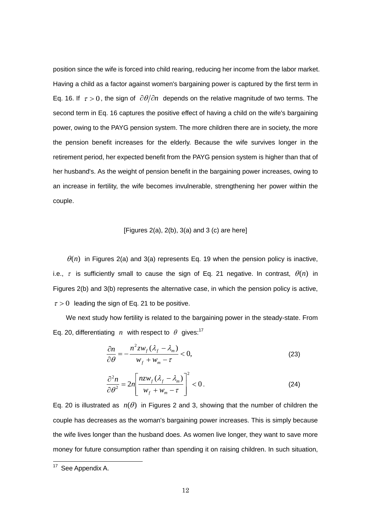position since the wife is forced into child rearing, reducing her income from the labor market. Having a child as a factor against women's bargaining power is captured by the first term in Eq. 16. If  $\tau > 0$ , the sign of  $\partial \theta / \partial n$  depends on the relative magnitude of two terms. The second term in Eq. 16 captures the positive effect of having a child on the wife's bargaining power, owing to the PAYG pension system. The more children there are in society, the more the pension benefit increases for the elderly. Because the wife survives longer in the retirement period, her expected benefit from the PAYG pension system is higher than that of her husband's. As the weight of pension benefit in the bargaining power increases, owing to an increase in fertility, the wife becomes invulnerable, strengthening her power within the couple.

#### [Figures  $2(a)$ ,  $2(b)$ ,  $3(a)$  and  $3(c)$  are here]

 $\theta(n)$  in Figures 2(a) and 3(a) represents Eq. 19 when the pension policy is inactive, i.e.,  $\tau$  is sufficiently small to cause the sign of Eq. 21 negative. In contrast,  $\theta(n)$  in Figures 2(b) and 3(b) represents the alternative case, in which the pension policy is active,  $\tau > 0$  leading the sign of Eq. 21 to be positive.

 We next study how fertility is related to the bargaining power in the steady-state. From Eq. 20, differentiating *n* with respect to  $\theta$  gives:<sup>17</sup>

$$
\frac{\partial n}{\partial \theta} = -\frac{n^2 z w_f (\lambda_f - \lambda_m)}{w_f + w_m - \tau} < 0,
$$
\n(23)

$$
\frac{\partial^2 n}{\partial \theta^2} = 2n \left[ \frac{nzw_f(\lambda_f - \lambda_m)}{w_f + w_m - \tau} \right]^2 < 0.
$$
 (24)

Eq. 20 is illustrated as  $n(\theta)$  in Figures 2 and 3, showing that the number of children the couple has decreases as the woman's bargaining power increases. This is simply because the wife lives longer than the husband does. As women live longer, they want to save more money for future consumption rather than spending it on raising children. In such situation,

 $17$  See Appendix A.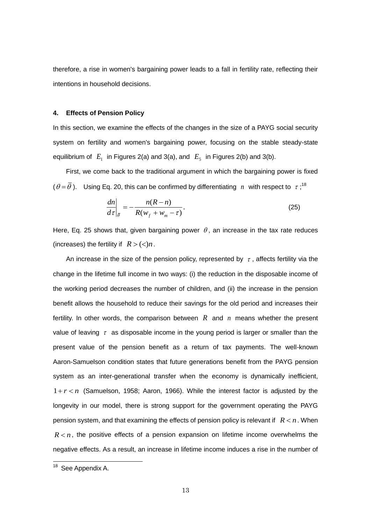therefore, a rise in women's bargaining power leads to a fall in fertility rate, reflecting their intentions in household decisions.

#### **4. Effects of Pension Policy**

In this section, we examine the effects of the changes in the size of a PAYG social security system on fertility and women's bargaining power, focusing on the stable steady-state equilibrium of  $E_1$  in Figures 2(a) and 3(a), and  $E_5$  in Figures 2(b) and 3(b).

 First, we come back to the traditional argument in which the bargaining power is fixed  $(\theta = \overline{\theta})$ . Using Eq. 20, this can be confirmed by differentiating n with respect to  $\tau$ ;<sup>18</sup>

$$
\left. \frac{dn}{d\tau} \right|_{\bar{\theta}} = -\frac{n(R-n)}{R(w_f + w_m - \tau)}.
$$
\n(25)

Here, Eq. 25 shows that, given bargaining power  $\theta$ , an increase in the tax rate reduces (increases) the fertility if  $R > \frac{c}{n}$ .

An increase in the size of the pension policy, represented by  $\tau$ , affects fertility via the change in the lifetime full income in two ways: (i) the reduction in the disposable income of the working period decreases the number of children, and (ii) the increase in the pension benefit allows the household to reduce their savings for the old period and increases their fertility. In other words, the comparison between  $R$  and  $n$  means whether the present value of leaving  $\tau$  as disposable income in the young period is larger or smaller than the present value of the pension benefit as a return of tax payments. The well-known Aaron-Samuelson condition states that future generations benefit from the PAYG pension system as an inter-generational transfer when the economy is dynamically inefficient,  $1 + r < n$  (Samuelson, 1958; Aaron, 1966). While the interest factor is adjusted by the longevity in our model, there is strong support for the government operating the PAYG pension system, and that examining the effects of pension policy is relevant if  $R < n$ . When  $R < n$ , the positive effects of a pension expansion on lifetime income overwhelms the negative effects. As a result, an increase in lifetime income induces a rise in the number of

<sup>&</sup>lt;sup>18</sup> See Appendix A.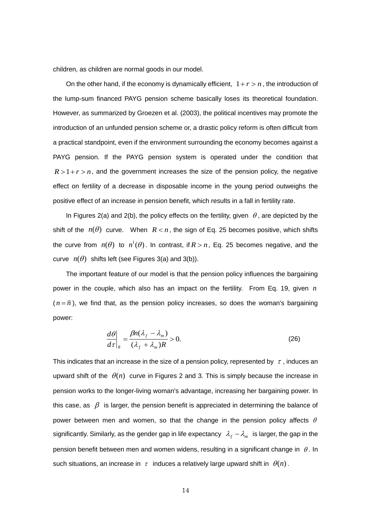children, as children are normal goods in our model.

On the other hand, if the economy is dynamically efficient,  $1 + r > n$ , the introduction of the lump-sum financed PAYG pension scheme basically loses its theoretical foundation. However, as summarized by Groezen et al. (2003), the political incentives may promote the introduction of an unfunded pension scheme or, a drastic policy reform is often difficult from a practical standpoint, even if the environment surrounding the economy becomes against a PAYG pension. If the PAYG pension system is operated under the condition that  $R > 1 + r > n$ , and the government increases the size of the pension policy, the negative effect on fertility of a decrease in disposable income in the young period outweighs the positive effect of an increase in pension benefit, which results in a fall in fertility rate.

In Figures 2(a) and 2(b), the policy effects on the fertility, given  $\theta$ , are depicted by the shift of the  $n(\theta)$  curve. When  $R < n$ , the sign of Eq. 25 becomes positive, which shifts the curve from  $n(\theta)$  to  $n^1(\theta)$ . In contrast, if  $R > n$ , Eq. 25 becomes negative, and the curve  $n(\theta)$  shifts left (see Figures 3(a) and 3(b)).

 The important feature of our model is that the pension policy influences the bargaining power in the couple, which also has an impact on the fertility. From Eq. 19, given *n*  $(n = \overline{n})$ , we find that, as the pension policy increases, so does the woman's bargaining power:

$$
\frac{d\theta}{d\tau}\bigg|_{\overline{n}} = \frac{\beta n(\lambda_f - \lambda_m)}{(\lambda_f + \lambda_m)R} > 0.
$$
\n(26)

This indicates that an increase in the size of a pension policy, represented by  $\tau$  , induces an upward shift of the  $\theta(n)$  curve in Figures 2 and 3. This is simply because the increase in pension works to the longer-living woman's advantage, increasing her bargaining power. In this case, as  $\beta$  is larger, the pension benefit is appreciated in determining the balance of power between men and women, so that the change in the pension policy affects  $\theta$ significantly. Similarly, as the gender gap in life expectancy  $\lambda_f - \lambda_m$  is larger, the gap in the pension benefit between men and women widens, resulting in a significant change in  $\theta$ . In such situations, an increase in  $\tau$  induces a relatively large upward shift in  $\theta(n)$ .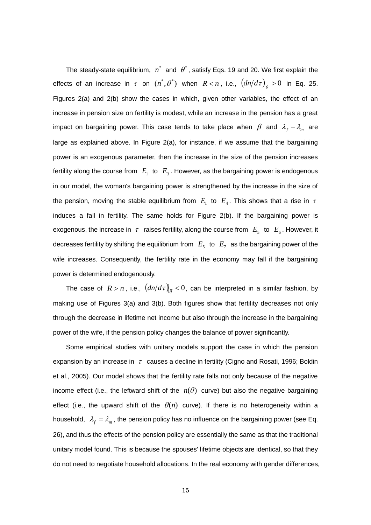The steady-state equilibrium,  $n^*$  and  $\theta^*$ , satisfy Eqs. 19 and 20. We first explain the effects of an increase in  $\tau$  on  $(n^*, \theta^*)$  when  $R < n$ , i.e.,  $\left(dn/d\tau\right)_{\bar{\theta}} > 0$  in Eq. 25. Figures 2(a) and 2(b) show the cases in which, given other variables, the effect of an increase in pension size on fertility is modest, while an increase in the pension has a great impact on bargaining power. This case tends to take place when  $\beta$  and  $\lambda_{f} - \lambda_{m}$  are large as explained above. In Figure 2(a), for instance, if we assume that the bargaining power is an exogenous parameter, then the increase in the size of the pension increases fertility along the course from  $|E_{1}|$  to  $|E_{3}|$ . However, as the bargaining power is endogenous in our model, the woman's bargaining power is strengthened by the increase in the size of the pension, moving the stable equilibrium from  $E_1$  to  $E_4$ . This shows that a rise in  $\tau$ induces a fall in fertility. The same holds for Figure 2(b). If the bargaining power is exogenous, the increase in  $\tau$  raises fertility, along the course from  $E_5$  to  $E_6$ . However, it decreases fertility by shifting the equilibrium from  $E_5$  to  $E_7$  as the bargaining power of the wife increases. Consequently, the fertility rate in the economy may fall if the bargaining power is determined endogenously.

The case of  $R > n$ , i.e.,  $\left(dn/d\tau\right)_{\bar{\theta}} < 0$ , can be interpreted in a similar fashion, by making use of Figures 3(a) and 3(b). Both figures show that fertility decreases not only through the decrease in lifetime net income but also through the increase in the bargaining power of the wife, if the pension policy changes the balance of power significantly.

 Some empirical studies with unitary models support the case in which the pension expansion by an increase in  $\tau$  causes a decline in fertility (Cigno and Rosati, 1996; Boldin et al., 2005). Our model shows that the fertility rate falls not only because of the negative income effect (i.e., the leftward shift of the  $n(\theta)$  curve) but also the negative bargaining effect (i.e., the upward shift of the  $\theta(n)$  curve). If there is no heterogeneity within a household,  $\lambda_f = \lambda_m$ , the pension policy has no influence on the bargaining power (see Eq. 26), and thus the effects of the pension policy are essentially the same as that the traditional unitary model found. This is because the spouses' lifetime objects are identical, so that they do not need to negotiate household allocations. In the real economy with gender differences,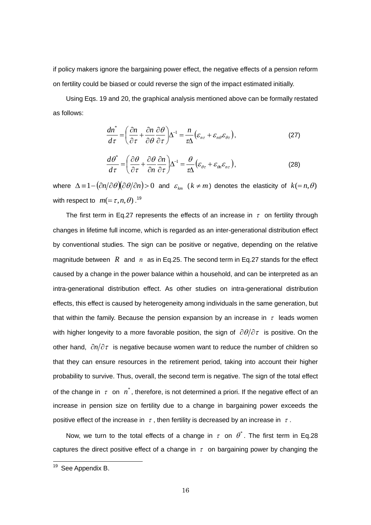if policy makers ignore the bargaining power effect, the negative effects of a pension reform on fertility could be biased or could reverse the sign of the impact estimated initially.

 Using Eqs. 19 and 20, the graphical analysis mentioned above can be formally restated as follows:

$$
\frac{dn^*}{d\tau} = \left(\frac{\partial n}{\partial \tau} + \frac{\partial n}{\partial \theta} \frac{\partial \theta}{\partial \tau}\right) \Delta^{-1} = \frac{n}{\tau \Delta} \left(\varepsilon_{n\tau} + \varepsilon_{n\theta} \varepsilon_{\theta\tau}\right),\tag{27}
$$

$$
\frac{d\theta^*}{d\tau} = \left(\frac{\partial\theta}{\partial\tau} + \frac{\partial\theta}{\partial n}\frac{\partial n}{\partial\tau}\right)\Delta^{-1} = \frac{\theta}{\tau\Delta}\left(\varepsilon_{\theta\tau} + \varepsilon_{\theta\theta}\varepsilon_{n\tau}\right),\tag{28}
$$

where  $\Delta\!\equiv\!1\!-\!(\! \partial\! n\!/\partial\theta\!)\!(\!\partial\theta\!/\!\partial\! n)\!>\!0$  and  $\varepsilon_{_{km}}$   $(k\neq\! m)$  denotes the elasticity of  $k\! =\! n,\theta)$ with respect to  $m = \tau, n, \theta$ ).<sup>19</sup>

The first term in Eq.27 represents the effects of an increase in  $\tau$  on fertility through changes in lifetime full income, which is regarded as an inter-generational distribution effect by conventional studies. The sign can be positive or negative, depending on the relative magnitude between  $R$  and  $n$  as in Eq.25. The second term in Eq.27 stands for the effect caused by a change in the power balance within a household, and can be interpreted as an intra-generational distribution effect. As other studies on intra-generational distribution effects, this effect is caused by heterogeneity among individuals in the same generation, but that within the family. Because the pension expansion by an increase in  $\tau$  leads women with higher longevity to a more favorable position, the sign of  $\partial \theta / \partial \tau$  is positive. On the other hand,  $\partial n/\partial \tau$  is negative because women want to reduce the number of children so that they can ensure resources in the retirement period, taking into account their higher probability to survive. Thus, overall, the second term is negative. The sign of the total effect of the change in  $\tau$  on  $n^*$ , therefore, is not determined a priori. If the negative effect of an increase in pension size on fertility due to a change in bargaining power exceeds the positive effect of the increase in  $\tau$ , then fertility is decreased by an increase in  $\tau$ .

Now, we turn to the total effects of a change in  $\tau$  on  $\theta^*$ . The first term in Eq.28 captures the direct positive effect of a change in  $\tau$  on bargaining power by changing the

<sup>&</sup>lt;sup>19</sup> See Appendix B.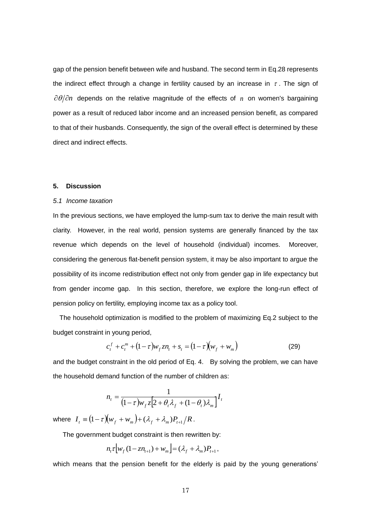gap of the pension benefit between wife and husband. The second term in Eq.28 represents the indirect effect through a change in fertility caused by an increase in  $\tau$ . The sign of  $\partial \theta / \partial n$  depends on the relative magnitude of the effects of n on women's bargaining power as a result of reduced labor income and an increased pension benefit, as compared to that of their husbands. Consequently, the sign of the overall effect is determined by these direct and indirect effects.

#### **5. Discussion**

#### *5.1 Income taxation*

In the previous sections, we have employed the lump-sum tax to derive the main result with clarity. However, in the real world, pension systems are generally financed by the tax revenue which depends on the level of household (individual) incomes. Moreover, considering the generous flat-benefit pension system, it may be also important to argue the possibility of its income redistribution effect not only from gender gap in life expectancy but from gender income gap. In this section, therefore, we explore the long-run effect of pension policy on fertility, employing income tax as a policy tool.

The household optimization is modified to the problem of maximizing Eq.2 subject to the budget constraint in young period,

$$
c_t^f + c_t^m + (1 - \tau)w_f z n_t + s_t = (1 - \tau)(w_f + w_m)
$$
 (29)

and the budget constraint in the old period of Eq. 4. By solving the problem, we can have the household demand function of the number of children as:

$$
n_{t} = \frac{1}{(1-\tau)w_{f}z[2+\theta_{t}\lambda_{f} + (1-\theta_{t})\lambda_{m}]}I_{t}
$$

where  $I_t \equiv (1-\tau)\big(w_f+w_m\big)+(\lambda_f+\lambda_m)P_{t+1}\big/R$ .

The government budget constraint is then rewritten by:

$$
n_{t} \tau \bigg[ w_{f} (1 - z n_{t+1}) + w_{m} \bigg] = (\lambda_{f} + \lambda_{m}) P_{t+1},
$$

which means that the pension benefit for the elderly is paid by the young generations'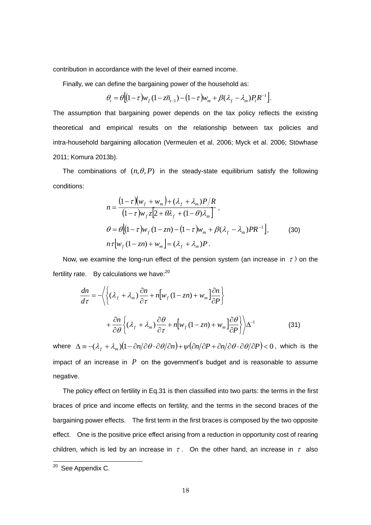contribution in accordance with the level of their earned income.

Finally, we can define the bargaining power of the household as:

$$
\theta_t = \theta \Big[ (1-\tau) w_f (1-\overline{z} \overline{n}_{t-1}) - (1-\tau) w_m + \beta (\lambda_f - \lambda_m) P_t R^{-1} \Big].
$$

The assumption that bargaining power depends on the tax policy reflects the existing theoretical and empirical results on the relationship between tax policies and intra-household bargaining allocation (Vermeulen et al. 2006; Myck et al. 2006; Stöwhase 2011; Komura 2013b).

The combinations of  $(n, \theta, P)$  in the steady-state equilibrium satisfy the following conditions:

$$
n = \frac{(1-\tau)(w_f + w_m) + (\lambda_f + \lambda_m)P/R}{(1-\tau)w_f z[2 + \theta \lambda_f + (1-\theta)\lambda_m]},
$$
  
\n
$$
\theta = \theta[(1-\tau)w_f(1-zn) - (1-\tau)w_m + \beta(\lambda_f - \lambda_m)PR^{-1}],
$$
  
\n
$$
n\tau[w_f(1-zn) + w_m] = (\lambda_f + \lambda_m)P.
$$
\n(30)

Now, we examine the long-run effect of the pension system (an increase in  $\tau$ ) on the fertility rate. By calculations we have: $20$ 

$$
\frac{dn}{d\tau} = -\left\langle \left\{ (\lambda_f + \lambda_m) \frac{\partial n}{\partial \tau} + n \Big[ w_f (1 - zn) + w_m \Big] \frac{\partial n}{\partial P} \right\} \right. \\ \left. + \frac{\partial n}{\partial \theta} \left\{ (\lambda_f + \lambda_m) \frac{\partial \theta}{\partial \tau} + n \Big[ w_f (1 - zn) + w_m \Big] \frac{\partial \theta}{\partial P} \right\} \right\rangle \Delta^{-1}
$$
\n(31)

where  $\Delta \equiv -(\lambda_f + \lambda_m)(1 - \partial n/\partial \theta \cdot \partial \theta/\partial n) + \psi(\partial n/\partial P + \partial n/\partial \theta \cdot \partial \theta/\partial P) < 0$ , which is the impact of an increase in  $P$  on the government's budget and is reasonable to assume negative.

The policy effect on fertility in Eq.31 is then classified into two parts: the terms in the first braces of price and income effects on fertility, and the terms in the second braces of the bargaining power effects. The first term in the first braces is composed by the two opposite effect. One is the positive price effect arising from a reduction in opportunity cost of rearing children, which is led by an increase in  $\tau$ . On the other hand, an increase in  $\tau$  also

 $20$  See Appendix C.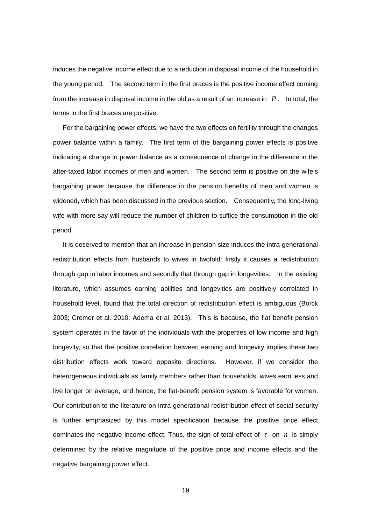induces the negative income effect due to a reduction in disposal income of the household in the young period. The second term in the first braces is the positive income effect coming from the increase in disposal income in the old as a result of an increase in  $P$ . In total, the terms in the first braces are positive.

For the bargaining power effects, we have the two effects on fertility through the changes power balance within a family. The first term of the bargaining power effects is positive indicating a change in power balance as a consequence of change in the difference in the after-taxed labor incomes of men and women. The second term is positive on the wife's bargaining power because the difference in the pension benefits of men and women is widened, which has been discussed in the previous section. Consequently, the long-living wife with more say will reduce the number of children to suffice the consumption in the old period.

 It is deserved to mention that an increase in pension size induces the intra-generational redistribution effects from husbands to wives in twofold: firstly it causes a redistribution through gap in labor incomes and secondly that through gap in longevities. In the existing literature, which assumes earning abilities and longevities are positively correlated in household level, found that the total direction of redistribution effect is ambiguous (Borck 2003; Cremer et al. 2010; Adema et al. 2013). This is because, the flat benefit pension system operates in the favor of the individuals with the properties of low income and high longevity, so that the positive correlation between earning and longevity implies these two distribution effects work toward opposite directions. However, if we consider the heterogeneous individuals as family members rather than households, wives earn less and live longer on average, and hence, the flat-benefit pension system is favorable for women. Our contribution to the literature on intra-generational redistribution effect of social security is further emphasized by this model specification because the positive price effect dominates the negative income effect. Thus, the sign of total effect of  $\tau$  on  $n$  is simply determined by the relative magnitude of the positive price and income effects and the negative bargaining power effect.

19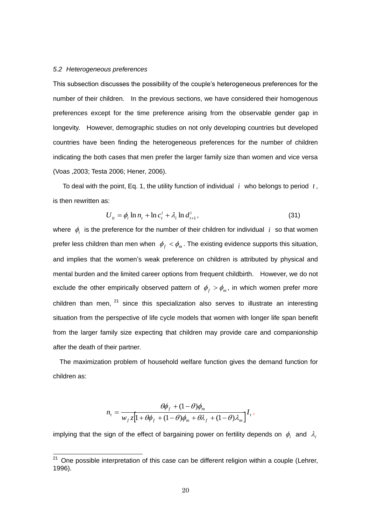#### *5.2 Heterogeneous preferences*

-

This subsection discusses the possibility of the couple's heterogeneous preferences for the number of their children. In the previous sections, we have considered their homogenous preferences except for the time preference arising from the observable gender gap in longevity. However, demographic studies on not only developing countries but developed countries have been finding the heterogeneous preferences for the number of children indicating the both cases that men prefer the larger family size than women and vice versa (Voas ,2003; Testa 2006; Hener, 2006).

To deal with the point, Eq. 1, the utility function of individual  $i$  who belongs to period  $t$ , is then rewritten as:

$$
U_{it} = \phi_i \ln n_t + \ln c_t^i + \lambda_i \ln d_{t+1}^i, \tag{31}
$$

where  $\phi_i$  is the preference for the number of their children for individual i so that women prefer less children than men when  $\phi_f < \phi_m$ . The existing evidence supports this situation, and implies that the women's weak preference on children is attributed by physical and mental burden and the limited career options from frequent childbirth. However, we do not exclude the other empirically observed pattern of  $\phi_f > \phi_m$ , in which women prefer more children than men,  $21$  since this specialization also serves to illustrate an interesting situation from the perspective of life cycle models that women with longer life span benefit from the larger family size expecting that children may provide care and companionship after the death of their partner.

The maximization problem of household welfare function gives the demand function for children as:

$$
n_{t} = \frac{\theta \phi_{f} + (1 - \theta)\phi_{m}}{w_{f} z \left[1 + \theta \phi_{f} + (1 - \theta)\phi_{m} + \theta \lambda_{f} + (1 - \theta)\lambda_{m}\right]} I_{t},
$$

implying that the sign of the effect of bargaining power on fertility depends on  $\phi_i$  and  $\lambda_i$ 

 $21$  One possible interpretation of this case can be different religion within a couple (Lehrer, 1996).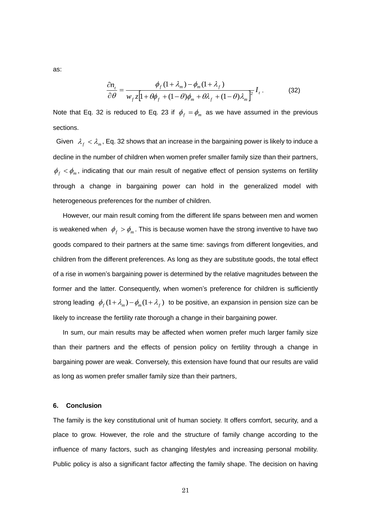as:

$$
\frac{\partial n_t}{\partial \theta} = \frac{\phi_f (1 + \lambda_m) - \phi_m (1 + \lambda_f)}{w_f z [1 + \theta \phi_f + (1 - \theta) \phi_m + \theta \lambda_f + (1 - \theta) \lambda_m]^2} I_t.
$$
(32)

Note that Eq. 32 is reduced to Eq. 23 if  $\phi_f = \phi_m$  as we have assumed in the previous sections.

Given  $\lambda_f < \lambda_m$ , Eq. 32 shows that an increase in the bargaining power is likely to induce a decline in the number of children when women prefer smaller family size than their partners,  $\phi_f$   $\lt \phi_m$ , indicating that our main result of negative effect of pension systems on fertility through a change in bargaining power can hold in the generalized model with heterogeneous preferences for the number of children.

However, our main result coming from the different life spans between men and women is weakened when  $\phi_f > \phi_m$ . This is because women have the strong inventive to have two goods compared to their partners at the same time: savings from different longevities, and children from the different preferences. As long as they are substitute goods, the total effect of a rise in women's bargaining power is determined by the relative magnitudes between the former and the latter. Consequently, when women's preference for children is sufficiently strong leading  $\phi_f(1+\lambda_m)-\phi_m(1+\lambda_f)$  to be positive, an expansion in pension size can be likely to increase the fertility rate thorough a change in their bargaining power.

In sum, our main results may be affected when women prefer much larger family size than their partners and the effects of pension policy on fertility through a change in bargaining power are weak. Conversely, this extension have found that our results are valid as long as women prefer smaller family size than their partners,

#### **6. Conclusion**

The family is the key constitutional unit of human society. It offers comfort, security, and a place to grow. However, the role and the structure of family change according to the influence of many factors, such as changing lifestyles and increasing personal mobility. Public policy is also a significant factor affecting the family shape. The decision on having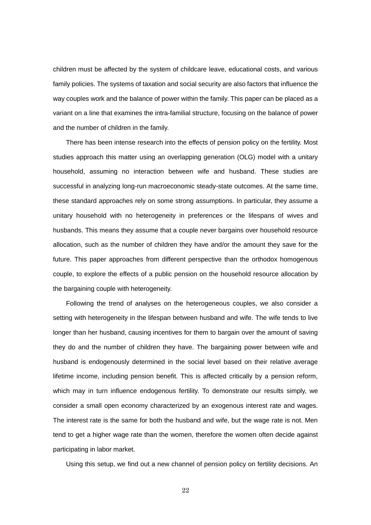children must be affected by the system of childcare leave, educational costs, and various family policies. The systems of taxation and social security are also factors that influence the way couples work and the balance of power within the family. This paper can be placed as a variant on a line that examines the intra-familial structure, focusing on the balance of power and the number of children in the family.

 There has been intense research into the effects of pension policy on the fertility. Most studies approach this matter using an overlapping generation (OLG) model with a unitary household, assuming no interaction between wife and husband. These studies are successful in analyzing long-run macroeconomic steady-state outcomes. At the same time, these standard approaches rely on some strong assumptions. In particular, they assume a unitary household with no heterogeneity in preferences or the lifespans of wives and husbands. This means they assume that a couple never bargains over household resource allocation, such as the number of children they have and/or the amount they save for the future. This paper approaches from different perspective than the orthodox homogenous couple, to explore the effects of a public pension on the household resource allocation by the bargaining couple with heterogeneity.

 Following the trend of analyses on the heterogeneous couples, we also consider a setting with heterogeneity in the lifespan between husband and wife. The wife tends to live longer than her husband, causing incentives for them to bargain over the amount of saving they do and the number of children they have. The bargaining power between wife and husband is endogenously determined in the social level based on their relative average lifetime income, including pension benefit. This is affected critically by a pension reform, which may in turn influence endogenous fertility. To demonstrate our results simply, we consider a small open economy characterized by an exogenous interest rate and wages. The interest rate is the same for both the husband and wife, but the wage rate is not. Men tend to get a higher wage rate than the women, therefore the women often decide against participating in labor market.

Using this setup, we find out a new channel of pension policy on fertility decisions. An

22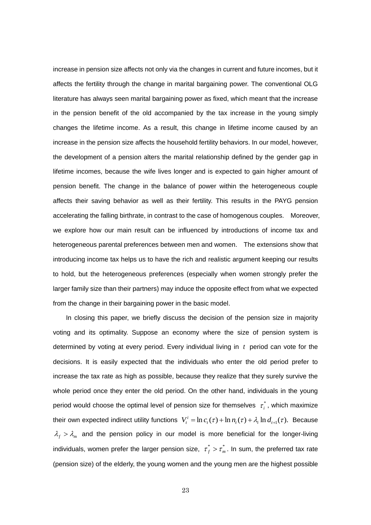increase in pension size affects not only via the changes in current and future incomes, but it affects the fertility through the change in marital bargaining power. The conventional OLG literature has always seen marital bargaining power as fixed, which meant that the increase in the pension benefit of the old accompanied by the tax increase in the young simply changes the lifetime income. As a result, this change in lifetime income caused by an increase in the pension size affects the household fertility behaviors. In our model, however, the development of a pension alters the marital relationship defined by the gender gap in lifetime incomes, because the wife lives longer and is expected to gain higher amount of pension benefit. The change in the balance of power within the heterogeneous couple affects their saving behavior as well as their fertility. This results in the PAYG pension accelerating the falling birthrate, in contrast to the case of homogenous couples. Moreover, we explore how our main result can be influenced by introductions of income tax and heterogeneous parental preferences between men and women. The extensions show that introducing income tax helps us to have the rich and realistic argument keeping our results to hold, but the heterogeneous preferences (especially when women strongly prefer the larger family size than their partners) may induce the opposite effect from what we expected from the change in their bargaining power in the basic model.

 In closing this paper, we briefly discuss the decision of the pension size in majority voting and its optimality. Suppose an economy where the size of pension system is determined by voting at every period. Every individual living in *t* period can vote for the decisions. It is easily expected that the individuals who enter the old period prefer to increase the tax rate as high as possible, because they realize that they surely survive the whole period once they enter the old period. On the other hand, individuals in the young period would choose the optimal level of pension size for themselves  $\tau_i^*$  $\tau_i^*$ , which maximize their own expected indirect utility functions  $V_t^i = \ln c_t(\tau) + \ln n_t(\tau) + \lambda_i \ln d_{t+1}(\tau)$ . Because  $\lambda_f > \lambda_m$  and the pension policy in our model is more beneficial for the longer-living individuals, women prefer the larger pension size,  $\tau_r^* > \tau_n^*$  $\tau_f^*$  >  $\tau_m^*$ . In sum, the preferred tax rate (pension size) of the elderly, the young women and the young men are the highest possible

23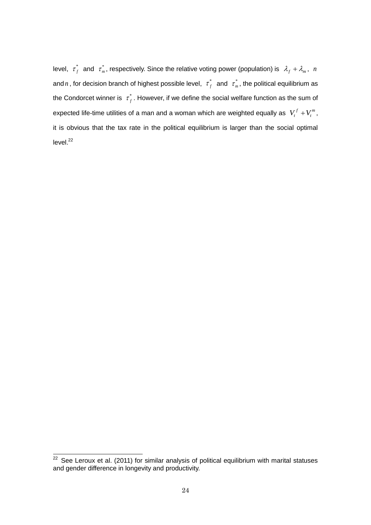level,  $\tau^*_\ell$  $\tau_f^*$  and  $\tau_m^*$  $\tau_m^*$ , respectively. Since the relative voting power (population) is  $\lambda_f + \lambda_m$ , *n* and *n*, for decision branch of highest possible level,  $\tau_f^*$  $\tau_f^*$  and  $\tau_m^*$  $\tau_m^*$ , the political equilibrium as the Condorcet winner is  $\sigma_f^*$  $\tau_f^*$ . However, if we define the social welfare function as the sum of expected life-time utilities of a man and a woman which are weighted equally as  $V_t^f + V_t^m$  $V_t^f + V_t^m$ , it is obvious that the tax rate in the political equilibrium is larger than the social optimal  $level.<sup>22</sup>$ 

 $22$  See Leroux et al. (2011) for similar analysis of political equilibrium with marital statuses and gender difference in longevity and productivity.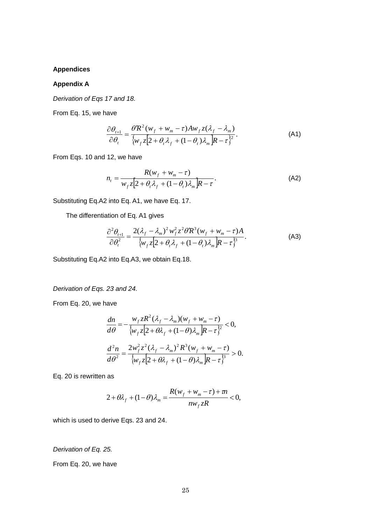#### **Appendices**

#### **Appendix A**

*Derivation of Eqs 17 and 18.*

From Eq. 15, we have

$$
\frac{\partial \theta_{t+1}}{\partial \theta_t} = \frac{\theta' R^2 (w_f + w_m - \tau) A w_f z (\lambda_f - \lambda_m)}{\{w_f z [2 + \theta_t \lambda_f + (1 - \theta_t) \lambda_m] R - \tau \}^2}.
$$
\n(A1)

From Eqs. 10 and 12, we have

$$
n_{t} = \frac{R(w_{f} + w_{m} - \tau)}{w_{f}z[2 + \theta_{t}\lambda_{f} + (1 - \theta_{t})\lambda_{m}]}R - \tau
$$
 (A2)

Substituting Eq.A2 into Eq. A1, we have Eq. 17.

The differentiation of Eq. A1 gives

$$
\frac{\partial^2 \theta_{t+1}}{\partial \theta_t^2} = \frac{2(\lambda_f - \lambda_m)^2 w_f^2 z^2 \theta' R^3 (w_f + w_m - \tau) A}{\{w_f z [2 + \theta_t \lambda_f + (1 - \theta_t) \lambda_m] R - \tau \}^3}.
$$
 (A3)

Substituting Eq.A2 into Eq.A3, we obtain Eq.18.

*Derivation of Eqs. 23 and 24.*

From Eq. 20, we have

$$
\frac{dn}{d\theta} = -\frac{w_f z R^2 (\lambda_f - \lambda_m)(w_f + w_m - \tau)}{\{w_f z [2 + \theta \lambda_f + (1 - \theta) \lambda_m] R - \tau \}^2} < 0,
$$
\n
$$
\frac{d^2 n}{d\theta^2} = \frac{2w_f^2 z^2 (\lambda_f - \lambda_m)^2 R^3 (w_f + w_m - \tau)}{\{w_f z [2 + \theta \lambda_f + (1 - \theta) \lambda_m] R - \tau \}^3} > 0.
$$

Eq. 20 is rewritten as

$$
2+\theta\lambda_f+(1-\theta)\lambda_m=\frac{R(w_f+w_m-\tau)+m}{nw_f zR}<0,
$$

which is used to derive Eqs. 23 and 24.

*Derivation of Eq. 25.* 

From Eq. 20, we have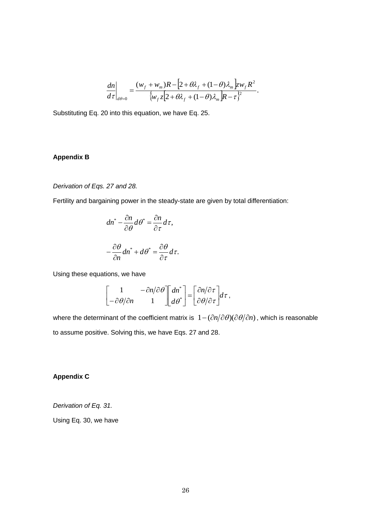$$
\frac{dn}{d\tau}\bigg|_{d\theta=0} = \frac{(w_f + w_m)R - [2 + \theta\lambda_f + (1 - \theta)\lambda_m]zw_fR^2}{\{w_f z[2 + \theta\lambda_f + (1 - \theta)\lambda_m]R - \tau\}^2}.
$$

Substituting Eq. 20 into this equation, we have Eq. 25.

#### **Appendix B**

#### *Derivation of Eqs. 27 and 28.*

Fertility and bargaining power in the steady-state are given by total differentiation:

$$
dn^* - \frac{\partial n}{\partial \theta} d\theta^* = \frac{\partial n}{\partial \tau} d\tau,
$$

$$
-\frac{\partial \theta}{\partial n} dn^* + d\theta^* = \frac{\partial \theta}{\partial \tau} d\tau.
$$

Using these equations, we have

$$
\begin{bmatrix} 1 & -\frac{\partial n}{\partial \theta} \\ -\frac{\partial \theta}{\partial n} & 1 \end{bmatrix} \begin{bmatrix} dn^* \\ d\theta^* \end{bmatrix} = \begin{bmatrix} \frac{\partial n}{\partial \tau} \\ \frac{\partial \theta}{\partial \tau} \end{bmatrix} d\tau,
$$

 $\left[2+\theta\lambda_f+(1-\theta)\lambda_m\right]_k^2$ <br>  $\theta\lambda_f+(1-\theta)\lambda_m\left[R-\tau\right]_k^2$ <br>
ave Eq. 25.<br>  $\left[\frac{\partial n}{\partial \tau}\right]_j^* = \left[\frac{\partial n}{\partial \theta/\partial \tau}\right]_j^2 d\tau$ ,<br>  $\left[\frac{\partial n}{\partial \theta/\partial \tau}\right]_j^* d\tau$ ,<br>  $\left[\frac{\partial n}{\partial \theta/\partial \tau}\right]_j^* d\tau$ ,<br>  $\left[\frac{\partial n}{\partial \theta/\partial \tau}\right]_j^* d\tau$ ,<br>
26 where the determinant of the coefficient matrix is  $1 - (\partial n/\partial \theta)(\partial \theta/\partial n)$ , which is reasonable to assume positive. Solving this, we have Eqs. 27 and 28.

#### **Appendix C**

*Derivation of Eq. 31.*

Using Eq. 30, we have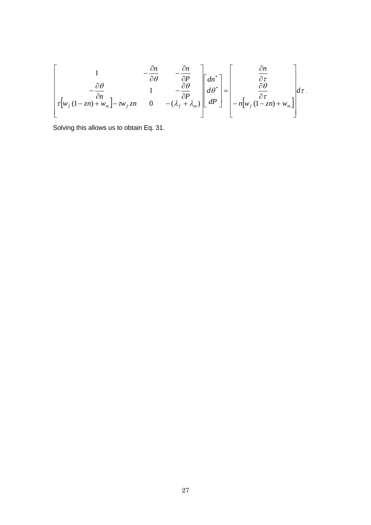$$
\begin{bmatrix}\n1 & -\frac{\partial n}{\partial \theta} & -\frac{\partial n}{\partial P} \\
-\frac{\partial \theta}{\partial n} & 1 & -\frac{\partial \theta}{\partial P} \\
\tau \left[ w_f (1 - zn) + w_m \right] - \tau w_f zn & 0 & -(\lambda_f + \lambda_m)\n\end{bmatrix}\n\begin{bmatrix}\ndn^* \\
d\theta^* \\
dP\n\end{bmatrix} = \begin{bmatrix}\n\frac{\partial n}{\partial \tau} \\
\frac{\partial \theta}{\partial \tau} \\
-n \left[ w_f (1 - zn) + w_m \right]\n\end{bmatrix} d\tau.
$$

Solving this allows us to obtain Eq. 31.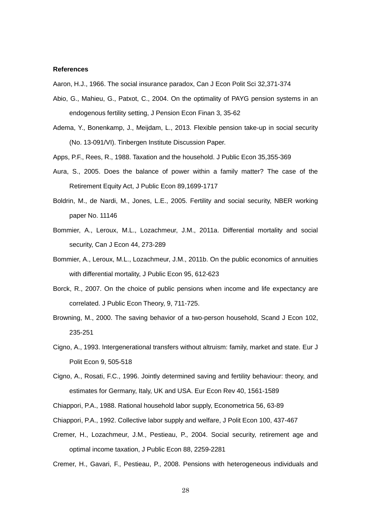#### **References**

Aaron, H.J., 1966. The social insurance paradox, Can J Econ Polit Sci 32,371-374

- Abio, G., Mahieu, G., Patxot, C., 2004. On the optimality of PAYG pension systems in an endogenous fertility setting, J Pension Econ Finan 3, 35-62
- Adema, Y., Bonenkamp, J., Meijdam, L., 2013. Flexible pension take-up in social security (No. 13-091/VI). Tinbergen Institute Discussion Paper.
- Apps, P.F., Rees, R., 1988. Taxation and the household. J Public Econ 35,355-369
- Aura, S., 2005. Does the balance of power within a family matter? The case of the Retirement Equity Act, J Public Econ 89,1699-1717
- Boldrin, M., de Nardi, M., Jones, L.E., 2005. Fertility and social security, NBER working paper No. 11146
- Bommier, A., Leroux, M.L., Lozachmeur, J.M., 2011a. Differential mortality and social security, Can J Econ 44, 273-289
- Bommier, A., Leroux, M.L., Lozachmeur, J.M., 2011b. On the public economics of annuities with differential mortality, J Public Econ 95, 612-623
- Borck, R., 2007. On the choice of public pensions when income and life expectancy are correlated. J Public Econ Theory, 9, 711-725.
- Browning, M., 2000. The saving behavior of a two-person household, Scand J Econ 102, 235-251
- Cigno, A., 1993. Intergenerational transfers without altruism: family, market and state. Eur J Polit Econ 9, 505-518
- Cigno, A., Rosati, F.C., 1996. Jointly determined saving and fertility behaviour: theory, and estimates for Germany, Italy, UK and USA. Eur Econ Rev 40, 1561-1589
- Chiappori, P.A., 1988. Rational household labor supply, Econometrica 56, 63-89
- Chiappori, P.A., 1992. Collective labor supply and welfare, J Polit Econ 100, 437-467
- Cremer, H., Lozachmeur, J.M., Pestieau, P., 2004. Social security, retirement age and optimal income taxation, J Public Econ 88, 2259-2281

Cremer, H., Gavari, F., Pestieau, P., 2008. Pensions with heterogeneous individuals and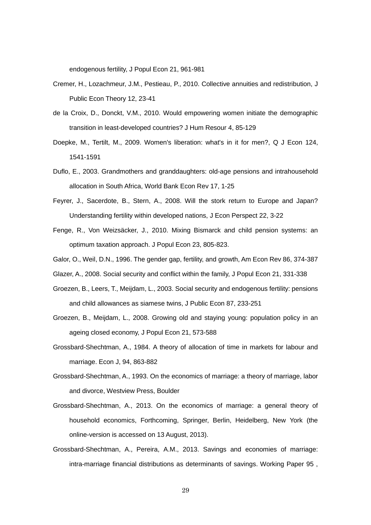endogenous fertility, J Popul Econ 21, 961-981

- Cremer, H., Lozachmeur, J.M., Pestieau, P., 2010. Collective annuities and redistribution, J Public Econ Theory 12, 23-41
- de la Croix, D., Donckt, V.M., 2010. Would empowering women initiate the demographic transition in least-developed countries? J Hum Resour 4, 85-129
- Doepke, M., Tertilt, M., 2009. Women's liberation: what's in it for men?, Q J Econ 124, 1541-1591
- Duflo, E., 2003. Grandmothers and granddaughters: old-age pensions and intrahousehold allocation in South Africa, World Bank Econ Rev 17, 1-25
- Feyrer, J., Sacerdote, B., Stern, A., 2008. Will the stork return to Europe and Japan? Understanding fertility within developed nations, J Econ Perspect 22, 3-22
- Fenge, R., Von Weizsäcker, J., 2010. Mixing Bismarck and child pension systems: an optimum taxation approach. J Popul Econ 23, 805-823.
- Galor, O., Weil, D.N., 1996. The gender gap, fertility, and growth, Am Econ Rev 86, 374-387
- Glazer, A., 2008. Social security and conflict within the family, J Popul Econ 21, 331-338
- Groezen, B., Leers, T., Meijdam, L., 2003. Social security and endogenous fertility: pensions and child allowances as siamese twins, J Public Econ 87, 233-251
- Groezen, B., Meijdam, L., 2008. Growing old and staying young: population policy in an ageing closed economy, J Popul Econ 21, 573-588
- Grossbard-Shechtman, A., 1984. A theory of allocation of time in markets for labour and marriage. Econ J, 94, 863-882
- Grossbard-Shechtman, A., 1993. On the economics of marriage: a theory of marriage, labor and divorce, Westview Press, Boulder
- Grossbard-Shechtman, A., 2013. On the economics of marriage: a general theory of household economics, Forthcoming, Springer, Berlin, Heidelberg, New York (the online-version is accessed on 13 August, 2013).
- Grossbard-Shechtman, A., Pereira, A.M., 2013. Savings and economies of marriage: intra-marriage financial distributions as determinants of savings. Working Paper 95 ,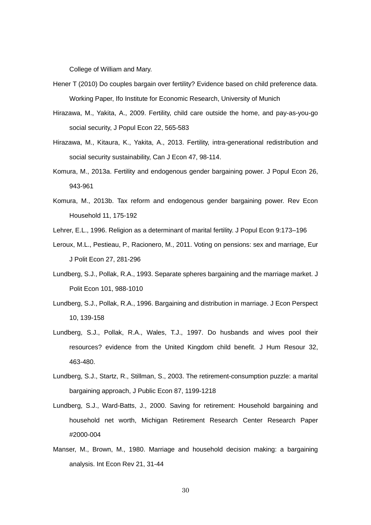College of William and Mary.

- Hener T (2010) Do couples bargain over fertility? Evidence based on child preference data. Working Paper, Ifo Institute for Economic Research, University of Munich
- Hirazawa, M., Yakita, A., 2009. Fertility, child care outside the home, and pay-as-you-go social security, J Popul Econ 22, 565-583
- Hirazawa, M., Kitaura, K., Yakita, A., 2013. Fertility, intra-generational redistribution and social security sustainability, Can J Econ 47, 98-114.
- Komura, M., 2013a. Fertility and endogenous gender bargaining power. J Popul Econ 26, 943-961
- Komura, M., 2013b. Tax reform and endogenous gender bargaining power. Rev Econ Household 11, 175-192
- Lehrer, E.L., 1996. Religion as a determinant of marital fertility. J Popul Econ 9:173–196
- Leroux, M.L., Pestieau, P., Racionero, M., 2011. Voting on pensions: sex and marriage, Eur J Polit Econ 27, 281-296
- Lundberg, S.J., Pollak, R.A., 1993. Separate spheres bargaining and the marriage market. J Polit Econ 101, 988-1010
- Lundberg, S.J., Pollak, R.A., 1996. Bargaining and distribution in marriage. J Econ Perspect 10, 139-158
- Lundberg, S.J., Pollak, R.A., Wales, T.J., 1997. Do husbands and wives pool their resources? evidence from the United Kingdom child benefit. J Hum Resour 32, 463-480.
- Lundberg, S.J., Startz, R., Stillman, S., 2003. The retirement-consumption puzzle: a marital bargaining approach, J Public Econ 87, 1199-1218
- Lundberg, S.J., Ward-Batts, J., 2000. Saving for retirement: Household bargaining and household net worth, Michigan Retirement Research Center Research Paper #2000-004
- Manser, M., Brown, M., 1980. Marriage and household decision making: a bargaining analysis. Int Econ Rev 21, 31-44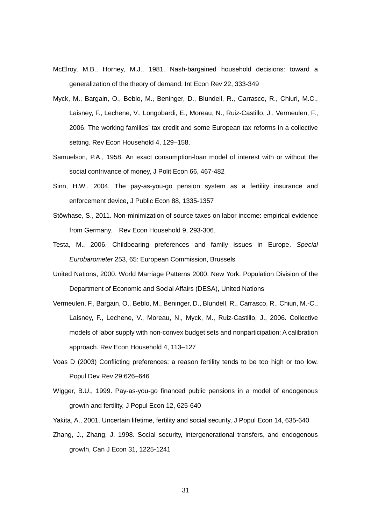- McElroy, M.B., Horney, M.J., 1981. Nash-bargained household decisions: toward a generalization of the theory of demand. Int Econ Rev 22, 333-349
- Myck, M., Bargain, O., Beblo, M., Beninger, D., Blundell, R., Carrasco, R., Chiuri, M.C., Laisney, F., Lechene, V., Longobardi, E., Moreau, N., Ruiz-Castillo, J., Vermeulen, F., 2006. The working families' tax credit and some European tax reforms in a collective setting. Rev Econ Household 4, 129–158.
- Samuelson, P.A., 1958. An exact consumption-loan model of interest with or without the social contrivance of money, J Polit Econ 66, 467-482
- Sinn, H.W., 2004. The pay-as-you-go pension system as a fertility insurance and enforcement device, J Public Econ 88, 1335-1357
- Stöwhase, S., 2011. Non-minimization of source taxes on labor income: empirical evidence from Germany. Rev Econ Household 9, 293-306.
- Testa, M., 2006. Childbearing preferences and family issues in Europe. *Special Eurobarometer* 253, 65: European Commission, Brussels
- United Nations, 2000. World Marriage Patterns 2000. New York: Population Division of the Department of Economic and Social Affairs (DESA), United Nations
- Vermeulen, F., Bargain, O., Beblo, M., Beninger, D., Blundell, R., Carrasco, R., Chiuri, M.-C., Laisney, F., Lechene, V., Moreau, N., Myck, M., Ruiz-Castillo, J., 2006. Collective models of labor supply with non-convex budget sets and nonparticipation: A calibration approach. Rev Econ Household 4, 113–127
- Voas D (2003) Conflicting preferences: a reason fertility tends to be too high or too low. Popul Dev Rev 29:626–646
- Wigger, B.U., 1999. Pay-as-you-go financed public pensions in a model of endogenous growth and fertility, J Popul Econ 12, 625-640
- Yakita, A., 2001. Uncertain lifetime, fertility and social security, J Popul Econ 14, 635-640
- Zhang, J., Zhang, J. 1998. Social security, intergenerational transfers, and endogenous growth, Can J Econ 31, 1225-1241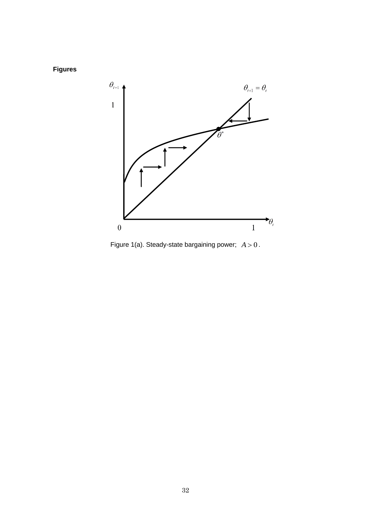**Figures**



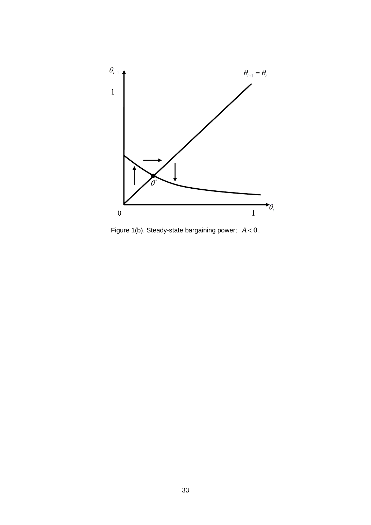

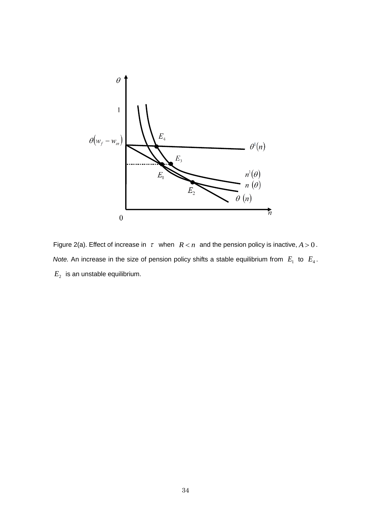

Figure 2(a). Effect of increase in  $\tau$  when  $R < n$  and the pension policy is inactive,  $A > 0$ . *Note.* An increase in the size of pension policy shifts a stable equilibrium from  $E_1$  to  $E_4$ .  $E_{\mathrm{\mathrm{2}}}^{\mathrm{}}$  is an unstable equilibrium.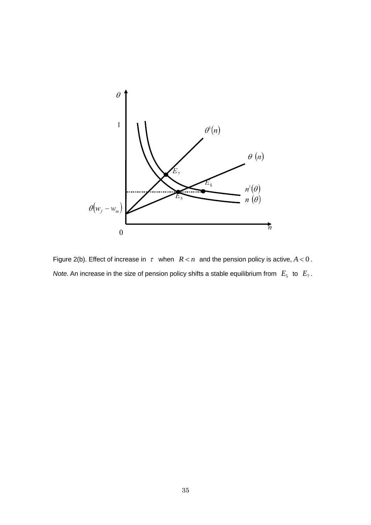

Figure 2(b). Effect of increase in  $\tau$  when  $R < n$  and the pension policy is active,  $A < 0$ . *Note.* An increase in the size of pension policy shifts a stable equilibrium from  $E_5$  to  $E_7$ .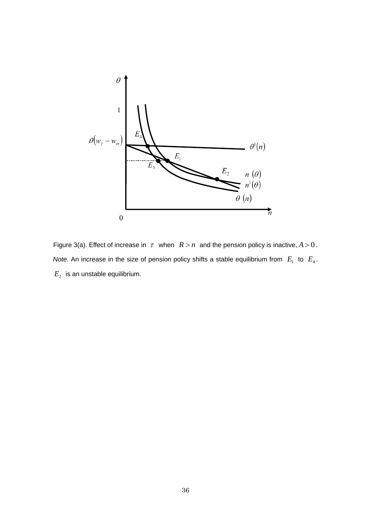

Figure 3(a). Effect of increase in  $\tau$  when  $R > n$  and the pension policy is inactive,  $A > 0$ . *Note.* An increase in the size of pension policy shifts a stable equilibrium from  $E_1$  to  $E_4$ .  $E_{\mathrm{\mathrm{2}}}^{\mathrm{}}$  is an unstable equilibrium.